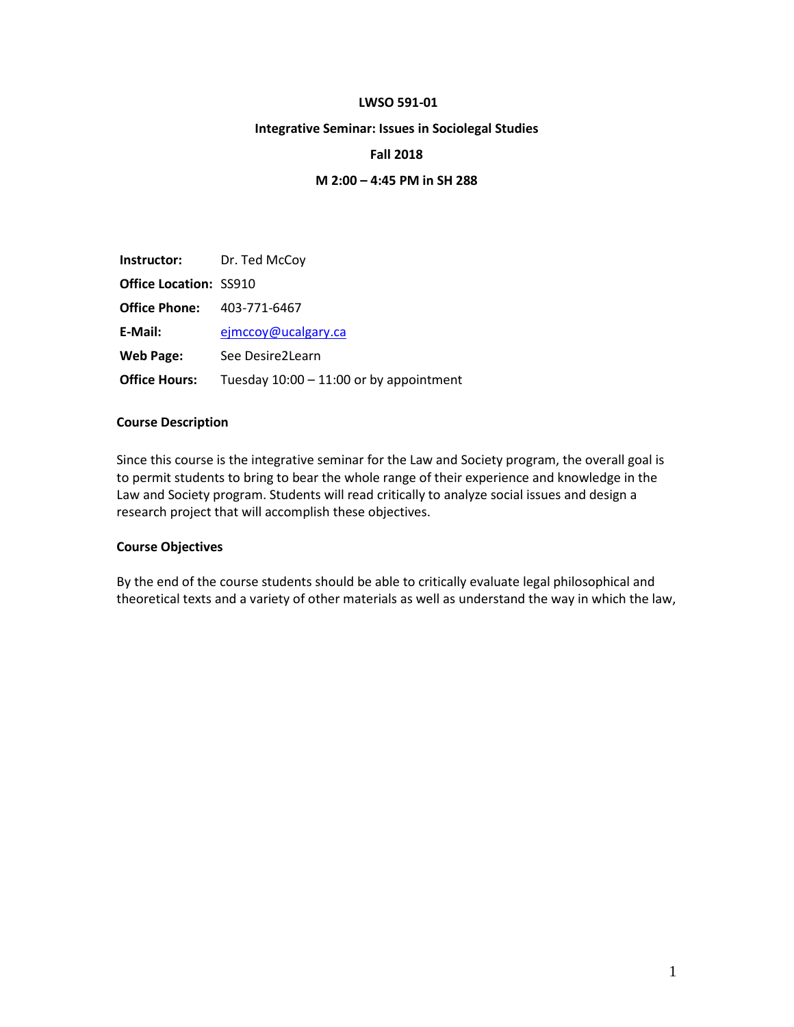#### **LWSO 591-01**

#### **Integrative Seminar: Issues in Sociolegal Studies**

#### **Fall 2018**

### **M 2:00 – 4:45 PM in SH 288**

| <b>Instructor:</b> Dr. Ted McCoy  |                                         |
|-----------------------------------|-----------------------------------------|
| <b>Office Location: SS910</b>     |                                         |
| <b>Office Phone:</b> 403-771-6467 |                                         |
| E-Mail:                           | ejmccoy@ucalgary.ca                     |
| <b>Web Page:</b>                  | See Desire2Learn                        |
| <b>Office Hours:</b>              | Tuesday 10:00 - 11:00 or by appointment |

#### **Course Description**

Since this course is the integrative seminar for the Law and Society program, the overall goal is to permit students to bring to bear the whole range of their experience and knowledge in the Law and Society program. Students will read critically to analyze social issues and design a research project that will accomplish these objectives.

#### **Course Objectives**

By the end of the course students should be able to critically evaluate legal philosophical and theoretical texts and a variety of other materials as well as understand the way in which the law,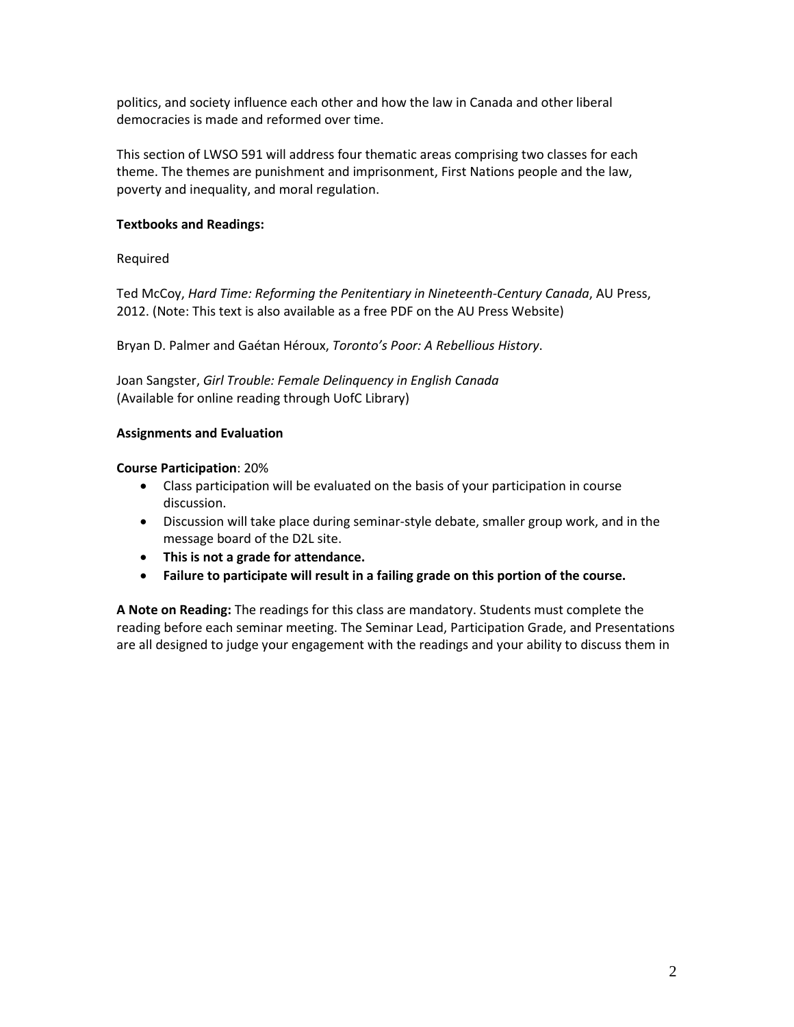politics, and society influence each other and how the law in Canada and other liberal democracies is made and reformed over time.

This section of LWSO 591 will address four thematic areas comprising two classes for each theme. The themes are punishment and imprisonment, First Nations people and the law, poverty and inequality, and moral regulation.

# **Textbooks and Readings:**

Required

Ted McCoy, *Hard Time: Reforming the Penitentiary in Nineteenth-Century Canada*, AU Press, 2012. (Note: This text is also available as a free PDF on the AU Press Website)

Bryan D. Palmer and Gaétan Héroux, *Toronto's Poor: A Rebellious History*.

Joan Sangster, *Girl Trouble: Female Delinquency in English Canada* (Available for online reading through UofC Library)

# **Assignments and Evaluation**

**Course Participation**: 20%

- Class participation will be evaluated on the basis of your participation in course discussion.
- Discussion will take place during seminar-style debate, smaller group work, and in the message board of the D2L site.
- **This is not a grade for attendance.**
- **Failure to participate will result in a failing grade on this portion of the course.**

**A Note on Reading:** The readings for this class are mandatory. Students must complete the reading before each seminar meeting. The Seminar Lead, Participation Grade, and Presentations are all designed to judge your engagement with the readings and your ability to discuss them in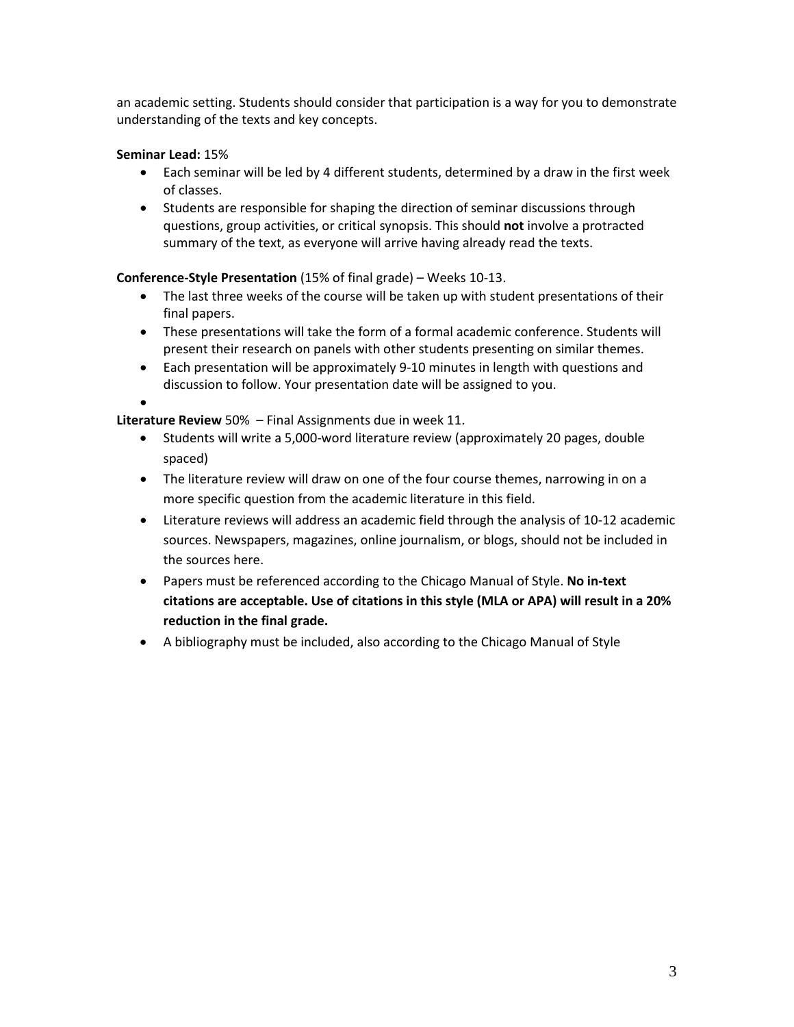an academic setting. Students should consider that participation is a way for you to demonstrate understanding of the texts and key concepts.

# **Seminar Lead:** 15%

- Each seminar will be led by 4 different students, determined by a draw in the first week of classes.
- Students are responsible for shaping the direction of seminar discussions through questions, group activities, or critical synopsis. This should **not** involve a protracted summary of the text, as everyone will arrive having already read the texts.

# **Conference-Style Presentation** (15% of final grade) – Weeks 10-13.

- The last three weeks of the course will be taken up with student presentations of their final papers.
- These presentations will take the form of a formal academic conference. Students will present their research on panels with other students presenting on similar themes.
- Each presentation will be approximately 9-10 minutes in length with questions and discussion to follow. Your presentation date will be assigned to you.
- •

**Literature Review** 50% – Final Assignments due in week 11.

- Students will write a 5,000-word literature review (approximately 20 pages, double spaced)
- The literature review will draw on one of the four course themes, narrowing in on a more specific question from the academic literature in this field.
- Literature reviews will address an academic field through the analysis of 10-12 academic sources. Newspapers, magazines, online journalism, or blogs, should not be included in the sources here.
- Papers must be referenced according to the Chicago Manual of Style. **No in-text citations are acceptable. Use of citations in this style (MLA or APA) will result in a 20% reduction in the final grade.**
- A bibliography must be included, also according to the Chicago Manual of Style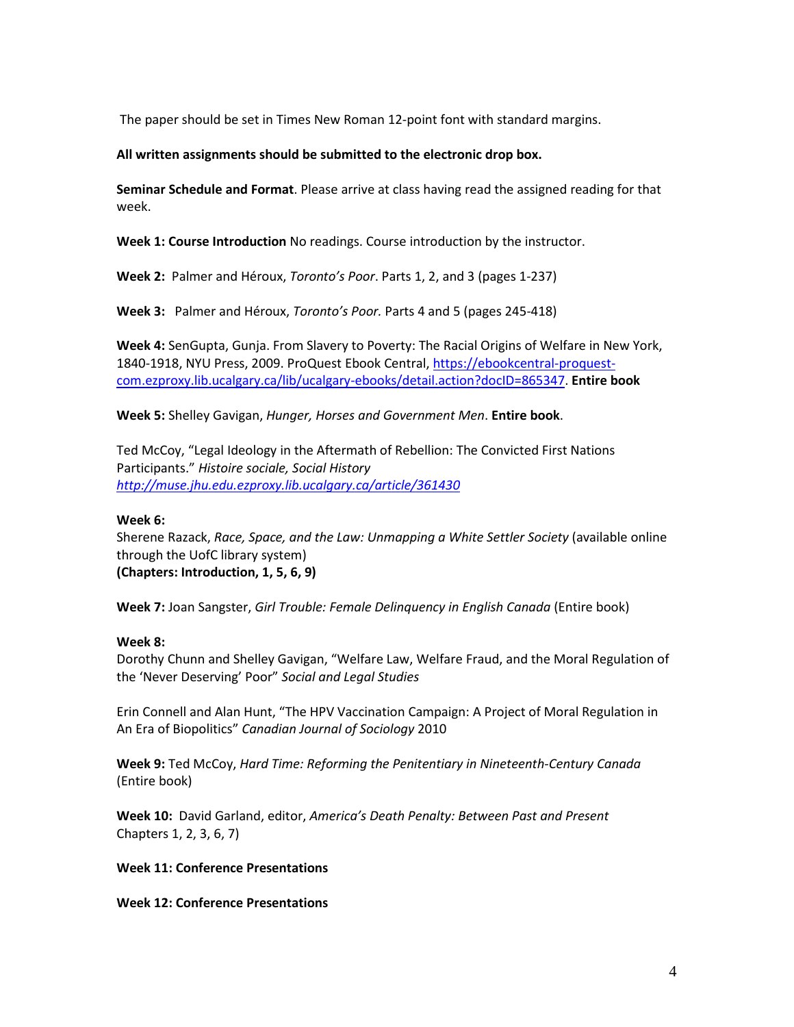The paper should be set in Times New Roman 12-point font with standard margins.

#### **All written assignments should be submitted to the electronic drop box.**

**Seminar Schedule and Format**. Please arrive at class having read the assigned reading for that week.

**Week 1: Course Introduction** No readings. Course introduction by the instructor.

**Week 2:** Palmer and Héroux, *Toronto's Poor*. Parts 1, 2, and 3 (pages 1-237)

**Week 3:** Palmer and Héroux, *Toronto's Poor.* Parts 4 and 5 (pages 245-418)

**Week 4:** SenGupta, Gunja. From Slavery to Poverty: The Racial Origins of Welfare in New York, 1840-1918, NYU Press, 2009. ProQuest Ebook Central, [https://ebookcentral-proquest](https://ebookcentral-proquest-com.ezproxy.lib.ucalgary.ca/lib/ucalgary-ebooks/detail.action?docID=865347)[com.ezproxy.lib.ucalgary.ca/lib/ucalgary-ebooks/detail.action?docID=865347.](https://ebookcentral-proquest-com.ezproxy.lib.ucalgary.ca/lib/ucalgary-ebooks/detail.action?docID=865347) **Entire book**

**Week 5:** Shelley Gavigan, *Hunger, Horses and Government Men*. **Entire book**.

Ted McCoy, "Legal Ideology in the Aftermath of Rebellion: The Convicted First Nations Participants." *Histoire sociale, Social History <http://muse.jhu.edu.ezproxy.lib.ucalgary.ca/article/361430>*

#### **Week 6:**

Sherene Razack, *Race, Space, and the Law: Unmapping a White Settler Society* (available online through the UofC library system) **(Chapters: Introduction, 1, 5, 6, 9)** 

**Week 7:** Joan Sangster, *Girl Trouble: Female Delinquency in English Canada* (Entire book)

#### **Week 8:**

Dorothy Chunn and Shelley Gavigan, "Welfare Law, Welfare Fraud, and the Moral Regulation of the 'Never Deserving' Poor" *Social and Legal Studies*

Erin Connell and Alan Hunt, "The HPV Vaccination Campaign: A Project of Moral Regulation in An Era of Biopolitics" *Canadian Journal of Sociology* 2010

**Week 9:** Ted McCoy, *Hard Time: Reforming the Penitentiary in Nineteenth-Century Canada* (Entire book)

**Week 10:** David Garland, editor, *America's Death Penalty: Between Past and Present* Chapters 1, 2, 3, 6, 7)

#### **Week 11: Conference Presentations**

**Week 12: Conference Presentations**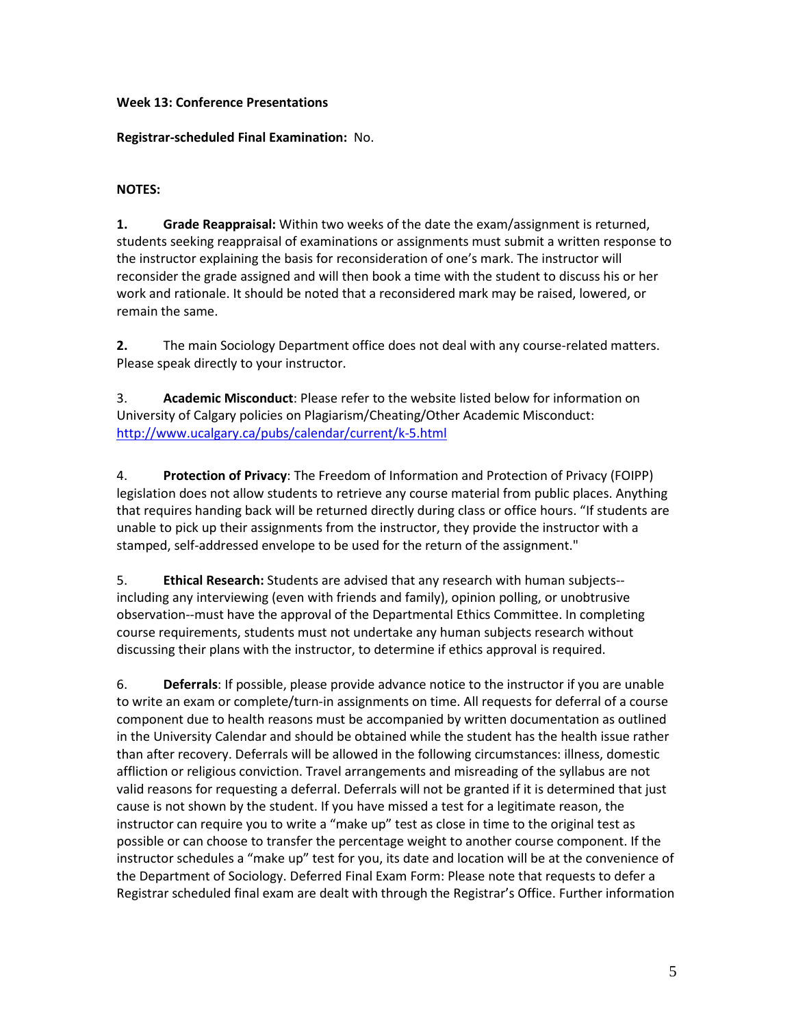# **Week 13: Conference Presentations**

# **Registrar-scheduled Final Examination:** No.

# **NOTES:**

**1. Grade Reappraisal:** Within two weeks of the date the exam/assignment is returned, students seeking reappraisal of examinations or assignments must submit a written response to the instructor explaining the basis for reconsideration of one's mark. The instructor will reconsider the grade assigned and will then book a time with the student to discuss his or her work and rationale. It should be noted that a reconsidered mark may be raised, lowered, or remain the same.

**2.** The main Sociology Department office does not deal with any course-related matters. Please speak directly to your instructor.

3. **Academic Misconduct**: Please refer to the website listed below for information on University of Calgary policies on Plagiarism/Cheating/Other Academic Misconduct: <http://www.ucalgary.ca/pubs/calendar/current/k-5.html>

4. **Protection of Privacy**: The Freedom of Information and Protection of Privacy (FOIPP) legislation does not allow students to retrieve any course material from public places. Anything that requires handing back will be returned directly during class or office hours. "If students are unable to pick up their assignments from the instructor, they provide the instructor with a stamped, self-addressed envelope to be used for the return of the assignment."

5. **Ethical Research:** Students are advised that any research with human subjects- including any interviewing (even with friends and family), opinion polling, or unobtrusive observation--must have the approval of the Departmental Ethics Committee. In completing course requirements, students must not undertake any human subjects research without discussing their plans with the instructor, to determine if ethics approval is required.

6. **Deferrals**: If possible, please provide advance notice to the instructor if you are unable to write an exam or complete/turn-in assignments on time. All requests for deferral of a course component due to health reasons must be accompanied by written documentation as outlined in the University Calendar and should be obtained while the student has the health issue rather than after recovery. Deferrals will be allowed in the following circumstances: illness, domestic affliction or religious conviction. Travel arrangements and misreading of the syllabus are not valid reasons for requesting a deferral. Deferrals will not be granted if it is determined that just cause is not shown by the student. If you have missed a test for a legitimate reason, the instructor can require you to write a "make up" test as close in time to the original test as possible or can choose to transfer the percentage weight to another course component. If the instructor schedules a "make up" test for you, its date and location will be at the convenience of the Department of Sociology. Deferred Final Exam Form: Please note that requests to defer a Registrar scheduled final exam are dealt with through the Registrar's Office. Further information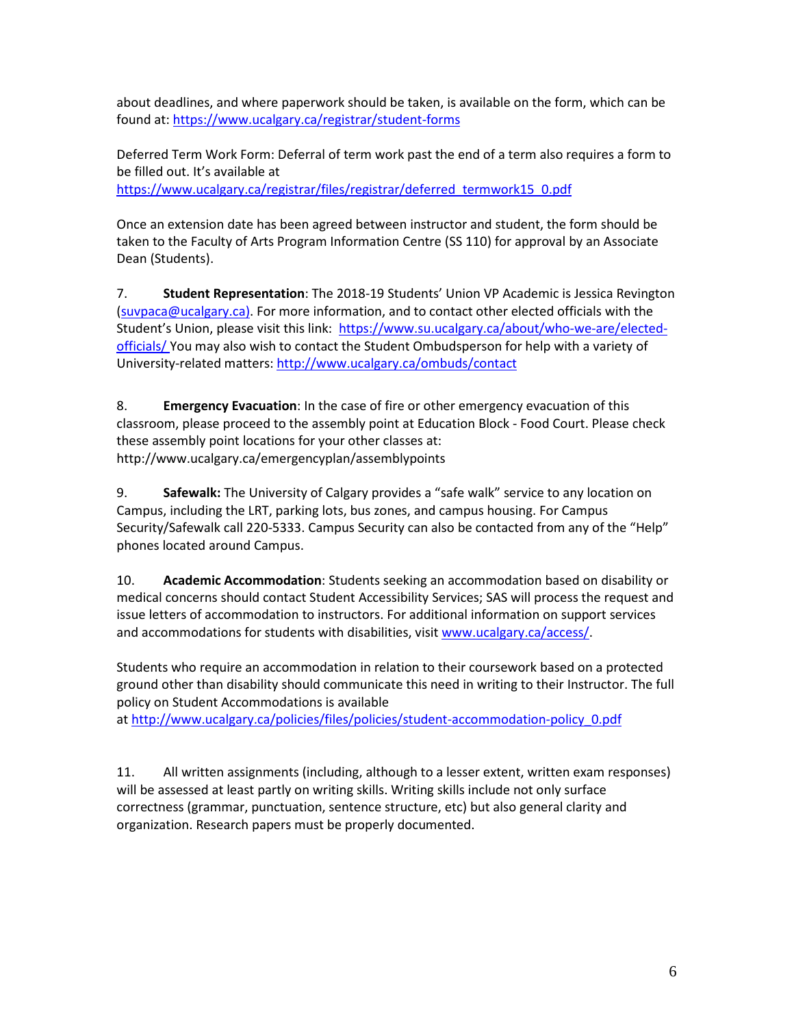about deadlines, and where paperwork should be taken, is available on the form, which can be found at:<https://www.ucalgary.ca/registrar/student-forms>

Deferred Term Work Form: Deferral of term work past the end of a term also requires a form to be filled out. It's available at [https://www.ucalgary.ca/registrar/files/registrar/deferred\\_termwork15\\_0.pdf](https://www.ucalgary.ca/registrar/files/registrar/deferred_termwork15_0.pdf) 

Once an extension date has been agreed between instructor and student, the form should be taken to the Faculty of Arts Program Information Centre (SS 110) for approval by an Associate Dean (Students).

7. **Student Representation**: The 2018-19 Students' Union VP Academic is Jessica Revington [\(suvpaca@ucalgary.ca\)](mailto:suvpaca@ucalgary.ca). For more information, and to contact other elected officials with the Student's Union, please visit this link: [https://www.su.ucalgary.ca/about/who-we-are/elected](https://www.su.ucalgary.ca/about/who-we-are/elected-officials/)[officials/](https://www.su.ucalgary.ca/about/who-we-are/elected-officials/) You may also wish to contact the Student Ombudsperson for help with a variety of University-related matters[: http://www.ucalgary.ca/ombuds/contact](http://www.ucalgary.ca/ombuds/contact)

8. **Emergency Evacuation**: In the case of fire or other emergency evacuation of this classroom, please proceed to the assembly point at Education Block - Food Court. Please check these assembly point locations for your other classes at: http://www.ucalgary.ca/emergencyplan/assemblypoints

9. **Safewalk:** The University of Calgary provides a "safe walk" service to any location on Campus, including the LRT, parking lots, bus zones, and campus housing. For Campus Security/Safewalk call 220-5333. Campus Security can also be contacted from any of the "Help" phones located around Campus.

10. **Academic Accommodation**: Students seeking an accommodation based on disability or medical concerns should contact Student Accessibility Services; SAS will process the request and issue letters of accommodation to instructors. For additional information on support services and accommodations for students with disabilities, visit [www.ucalgary.ca/access/.](https://mail.ucalgary.ca/owa/redir.aspx?C=lJoxklQQ9EmTcYQ3qjoDI0uWRh-msNII3fWJeNG2KDoaVkKx1G2tKByFEdZPLKgLtAaPLwFUDBw.&URL=http%3a%2f%2fwww.ucalgary.ca%2faccess%2f)

Students who require an accommodation in relation to their coursework based on a protected ground other than disability should communicate this need in writing to their Instructor. The full policy on Student Accommodations is available

at [http://www.ucalgary.ca/policies/files/policies/student-accommodation-policy\\_0.pdf](https://mail.ucalgary.ca/owa/redir.aspx?C=lJoxklQQ9EmTcYQ3qjoDI0uWRh-msNII3fWJeNG2KDoaVkKx1G2tKByFEdZPLKgLtAaPLwFUDBw.&URL=http%3a%2f%2fwww.ucalgary.ca%2fpolicies%2ffiles%2fpolicies%2fstudent-accommodation-policy_0.pdf)

11. All written assignments (including, although to a lesser extent, written exam responses) will be assessed at least partly on writing skills. Writing skills include not only surface correctness (grammar, punctuation, sentence structure, etc) but also general clarity and organization. Research papers must be properly documented.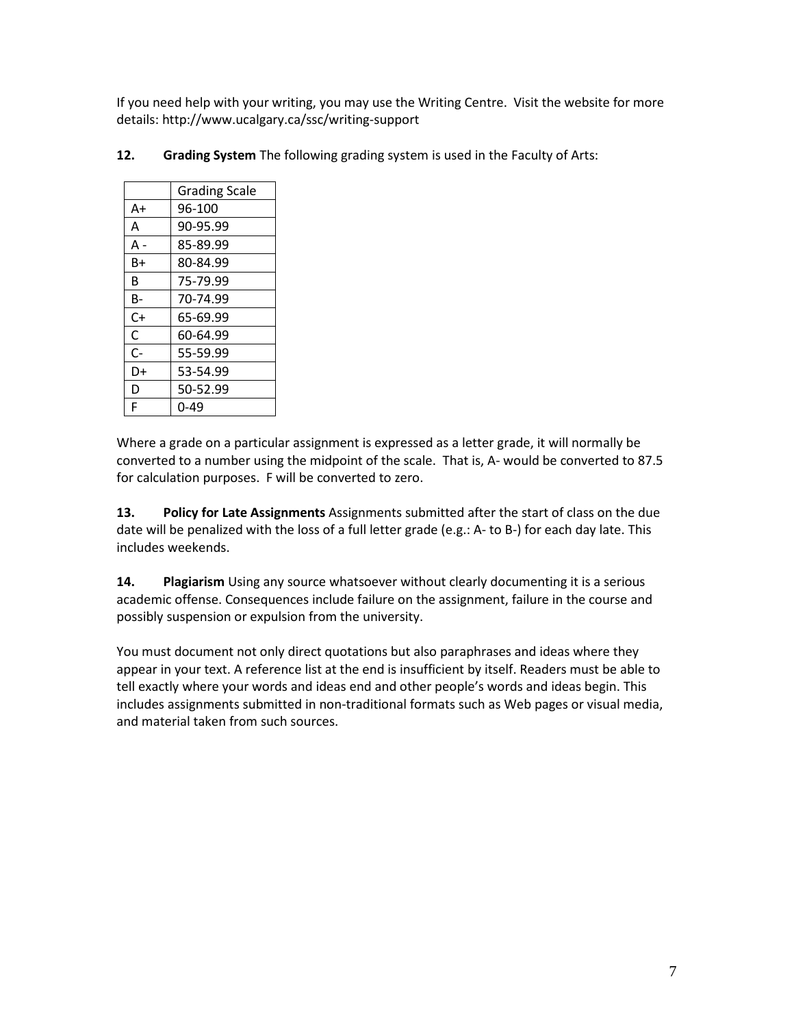If you need help with your writing, you may use the Writing Centre. Visit the website for more details: http://www.ucalgary.ca/ssc/writing-support

|       | <b>Grading Scale</b> |
|-------|----------------------|
| A+    | 96-100               |
| A     | 90-95.99             |
| A -   | 85-89.99             |
| B+    | 80-84.99             |
| B     | 75-79.99             |
| В-    | 70-74.99             |
| $C+$  | 65-69.99             |
| C     | 60-64.99             |
| $C -$ | 55-59.99             |
| D+    | 53-54.99             |
| D     | 50-52.99             |
| F     | በ-49                 |

**12. Grading System** The following grading system is used in the Faculty of Arts:

Where a grade on a particular assignment is expressed as a letter grade, it will normally be converted to a number using the midpoint of the scale. That is, A- would be converted to 87.5 for calculation purposes. F will be converted to zero.

**13. Policy for Late Assignments** Assignments submitted after the start of class on the due date will be penalized with the loss of a full letter grade (e.g.: A- to B-) for each day late. This includes weekends.

**14. Plagiarism** Using any source whatsoever without clearly documenting it is a serious academic offense. Consequences include failure on the assignment, failure in the course and possibly suspension or expulsion from the university.

You must document not only direct quotations but also paraphrases and ideas where they appear in your text. A reference list at the end is insufficient by itself. Readers must be able to tell exactly where your words and ideas end and other people's words and ideas begin. This includes assignments submitted in non-traditional formats such as Web pages or visual media, and material taken from such sources.